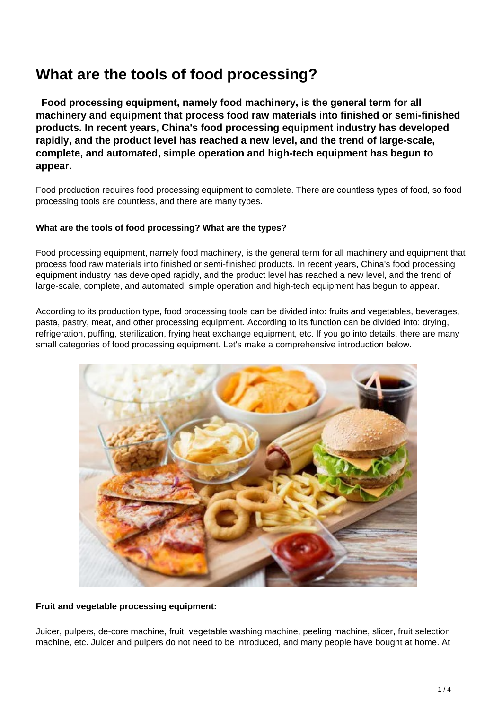# **What are the tools of food processing?**

 **Food processing equipment, namely food machinery, is the general term for all machinery and equipment that process food raw materials into finished or semi-finished products. In recent years, China's food processing equipment industry has developed rapidly, and the product level has reached a new level, and the trend of large-scale, complete, and automated, simple operation and high-tech equipment has begun to appear.**

Food production requires food processing equipment to complete. There are countless types of food, so food processing tools are countless, and there are many types.

# **What are the tools of food processing? What are the types?**

Food processing equipment, namely food machinery, is the general term for all machinery and equipment that process food raw materials into finished or semi-finished products. In recent years, China's food processing equipment industry has developed rapidly, and the product level has reached a new level, and the trend of large-scale, complete, and automated, simple operation and high-tech equipment has begun to appear.

According to its production type, food processing tools can be divided into: fruits and vegetables, beverages, pasta, pastry, meat, and other processing equipment. According to its function can be divided into: drying, refrigeration, puffing, sterilization, frying heat exchange equipment, etc. If you go into details, there are many small categories of food processing equipment. Let's make a comprehensive introduction below.



## **Fruit and vegetable processing equipment:**

Juicer, pulpers, de-core machine, fruit, vegetable washing machine, peeling machine, slicer, fruit selection machine, etc. Juicer and pulpers do not need to be introduced, and many people have bought at home. At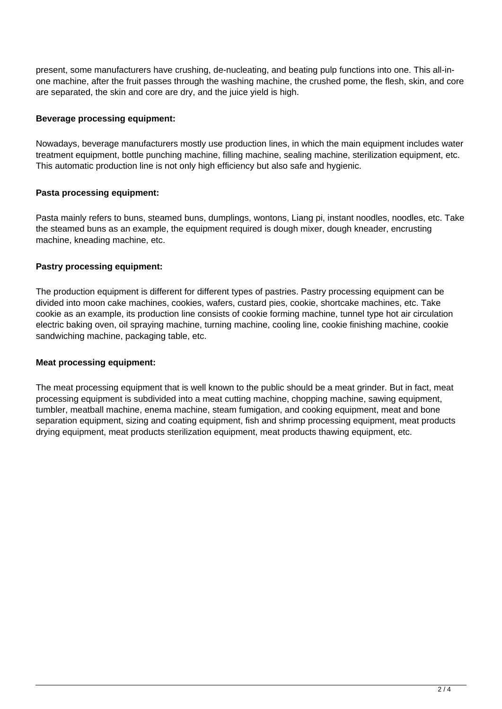present, some manufacturers have crushing, de-nucleating, and beating pulp functions into one. This all-inone machine, after the fruit passes through the washing machine, the crushed pome, the flesh, skin, and core are separated, the skin and core are dry, and the juice yield is high.

## **Beverage processing equipment:**

Nowadays, beverage manufacturers mostly use production lines, in which the main equipment includes water treatment equipment, bottle punching machine, filling machine, sealing machine, sterilization equipment, etc. This automatic production line is not only high efficiency but also safe and hygienic.

# **Pasta processing equipment:**

Pasta mainly refers to buns, steamed buns, dumplings, wontons, Liang pi, instant noodles, noodles, etc. Take the steamed buns as an example, the equipment required is dough mixer, dough kneader, encrusting machine, kneading machine, etc.

## **Pastry processing equipment:**

The production equipment is different for different types of pastries. Pastry processing equipment can be divided into moon cake machines, cookies, wafers, custard pies, cookie, shortcake machines, etc. Take cookie as an example, its production line consists of cookie forming machine, tunnel type hot air circulation electric baking oven, oil spraying machine, turning machine, cooling line, cookie finishing machine, cookie sandwiching machine, packaging table, etc.

## **Meat processing equipment:**

The meat processing equipment that is well known to the public should be a meat grinder. But in fact, meat processing equipment is subdivided into a meat cutting machine, chopping machine, sawing equipment, tumbler, meatball machine, enema machine, steam fumigation, and cooking equipment, meat and bone separation equipment, sizing and coating equipment, fish and shrimp processing equipment, meat products drying equipment, meat products sterilization equipment, meat products thawing equipment, etc.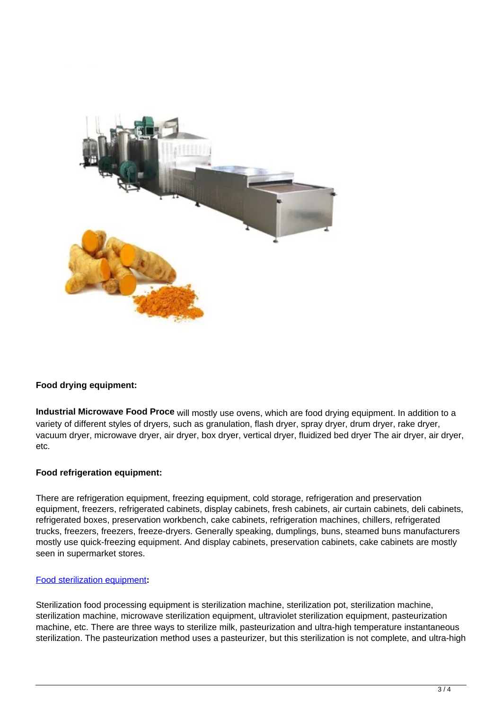

## **Food drying equipment:**

**Industrial Microwave Food Proce** will mostly use ovens, which are food drying equipment. In addition to a variety of different styles of dryers, such as granulation, flash dryer, spray dryer, drum dryer, rake dryer, vacuum dryer, microwave dryer, air dryer, box dryer, vertical dryer, fluidized bed dryer The air dryer, air dryer, etc.

#### **Food refrigeration equipment:**

There are refrigeration equipment, freezing equipment, cold storage, refrigeration and preservation equipment, freezers, refrigerated cabinets, display cabinets, fresh cabinets, air curtain cabinets, deli cabinets, refrigerated boxes, preservation workbench, cake cabinets, refrigeration machines, chillers, refrigerated trucks, freezers, freezers, freeze-dryers. Generally speaking, dumplings, buns, steamed buns manufacturers mostly use quick-freezing equipment. And display cabinets, preservation cabinets, cake cabinets are mostly seen in supermarket stores.

#### [Food sterilization equipment](https://loyalfoodmachine.com/microwave-sterilization-equipment/)**:**

Sterilization food processing equipment is sterilization machine, sterilization pot, sterilization machine, sterilization machine, microwave sterilization equipment, ultraviolet sterilization equipment, pasteurization machine, etc. There are three ways to sterilize milk, pasteurization and ultra-high temperature instantaneous sterilization. The pasteurization method uses a pasteurizer, but this sterilization is not complete, and ultra-high